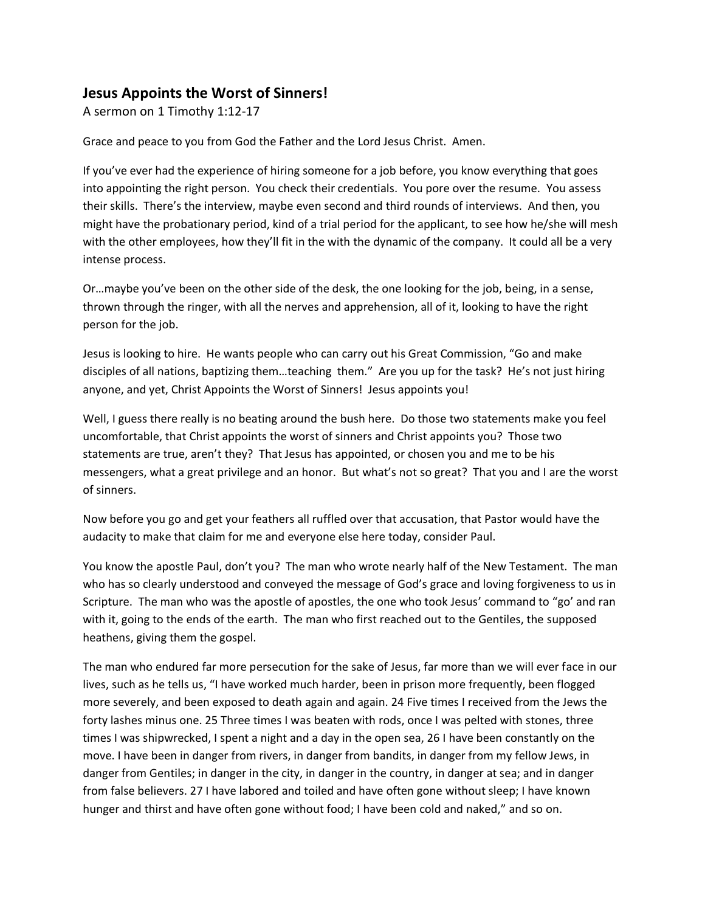## **Jesus Appoints the Worst of Sinners!**

A sermon on 1 Timothy 1:12-17

Grace and peace to you from God the Father and the Lord Jesus Christ. Amen.

If you've ever had the experience of hiring someone for a job before, you know everything that goes into appointing the right person. You check their credentials. You pore over the resume. You assess their skills. There's the interview, maybe even second and third rounds of interviews. And then, you might have the probationary period, kind of a trial period for the applicant, to see how he/she will mesh with the other employees, how they'll fit in the with the dynamic of the company. It could all be a very intense process.

Or…maybe you've been on the other side of the desk, the one looking for the job, being, in a sense, thrown through the ringer, with all the nerves and apprehension, all of it, looking to have the right person for the job.

Jesus is looking to hire. He wants people who can carry out his Great Commission, "Go and make disciples of all nations, baptizing them…teaching them." Are you up for the task? He's not just hiring anyone, and yet, Christ Appoints the Worst of Sinners! Jesus appoints you!

Well, I guess there really is no beating around the bush here. Do those two statements make you feel uncomfortable, that Christ appoints the worst of sinners and Christ appoints you? Those two statements are true, aren't they? That Jesus has appointed, or chosen you and me to be his messengers, what a great privilege and an honor. But what's not so great? That you and I are the worst of sinners.

Now before you go and get your feathers all ruffled over that accusation, that Pastor would have the audacity to make that claim for me and everyone else here today, consider Paul.

You know the apostle Paul, don't you? The man who wrote nearly half of the New Testament. The man who has so clearly understood and conveyed the message of God's grace and loving forgiveness to us in Scripture. The man who was the apostle of apostles, the one who took Jesus' command to "go' and ran with it, going to the ends of the earth. The man who first reached out to the Gentiles, the supposed heathens, giving them the gospel.

The man who endured far more persecution for the sake of Jesus, far more than we will ever face in our lives, such as he tells us, "I have worked much harder, been in prison more frequently, been flogged more severely, and been exposed to death again and again. 24 Five times I received from the Jews the forty lashes minus one. 25 Three times I was beaten with rods, once I was pelted with stones, three times I was shipwrecked, I spent a night and a day in the open sea, 26 I have been constantly on the move. I have been in danger from rivers, in danger from bandits, in danger from my fellow Jews, in danger from Gentiles; in danger in the city, in danger in the country, in danger at sea; and in danger from false believers. 27 I have labored and toiled and have often gone without sleep; I have known hunger and thirst and have often gone without food; I have been cold and naked," and so on.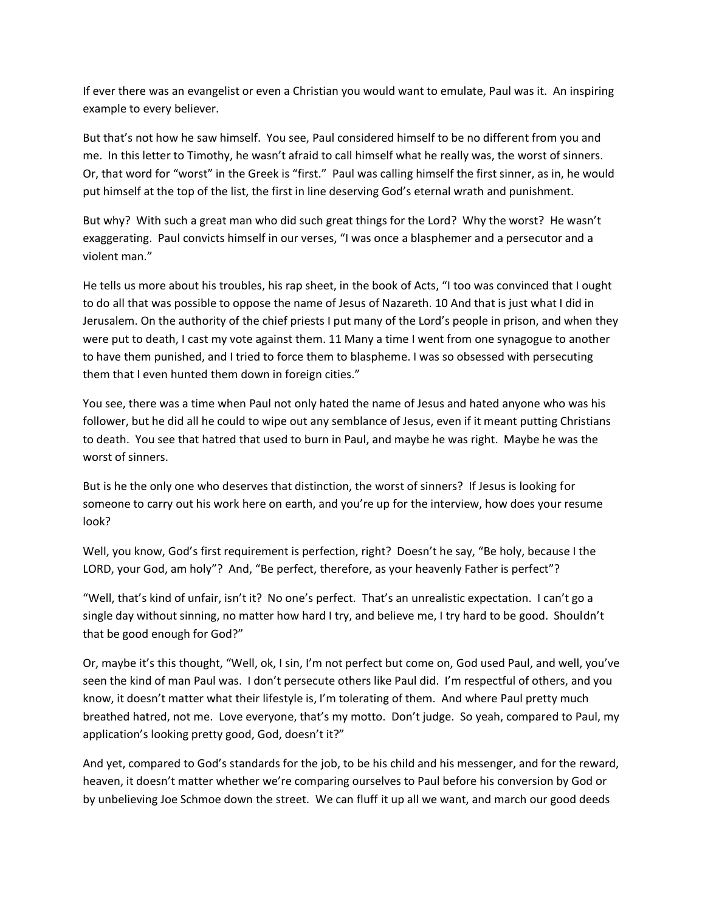If ever there was an evangelist or even a Christian you would want to emulate, Paul was it. An inspiring example to every believer.

But that's not how he saw himself. You see, Paul considered himself to be no different from you and me. In this letter to Timothy, he wasn't afraid to call himself what he really was, the worst of sinners. Or, that word for "worst" in the Greek is "first." Paul was calling himself the first sinner, as in, he would put himself at the top of the list, the first in line deserving God's eternal wrath and punishment.

But why? With such a great man who did such great things for the Lord? Why the worst? He wasn't exaggerating. Paul convicts himself in our verses, "I was once a blasphemer and a persecutor and a violent man."

He tells us more about his troubles, his rap sheet, in the book of Acts, "I too was convinced that I ought to do all that was possible to oppose the name of Jesus of Nazareth. 10 And that is just what I did in Jerusalem. On the authority of the chief priests I put many of the Lord's people in prison, and when they were put to death, I cast my vote against them. 11 Many a time I went from one synagogue to another to have them punished, and I tried to force them to blaspheme. I was so obsessed with persecuting them that I even hunted them down in foreign cities."

You see, there was a time when Paul not only hated the name of Jesus and hated anyone who was his follower, but he did all he could to wipe out any semblance of Jesus, even if it meant putting Christians to death. You see that hatred that used to burn in Paul, and maybe he was right. Maybe he was the worst of sinners.

But is he the only one who deserves that distinction, the worst of sinners? If Jesus is looking for someone to carry out his work here on earth, and you're up for the interview, how does your resume look?

Well, you know, God's first requirement is perfection, right? Doesn't he say, "Be holy, because I the LORD, your God, am holy"? And, "Be perfect, therefore, as your heavenly Father is perfect"?

"Well, that's kind of unfair, isn't it? No one's perfect. That's an unrealistic expectation. I can't go a single day without sinning, no matter how hard I try, and believe me, I try hard to be good. Shouldn't that be good enough for God?"

Or, maybe it's this thought, "Well, ok, I sin, I'm not perfect but come on, God used Paul, and well, you've seen the kind of man Paul was. I don't persecute others like Paul did. I'm respectful of others, and you know, it doesn't matter what their lifestyle is, I'm tolerating of them. And where Paul pretty much breathed hatred, not me. Love everyone, that's my motto. Don't judge. So yeah, compared to Paul, my application's looking pretty good, God, doesn't it?"

And yet, compared to God's standards for the job, to be his child and his messenger, and for the reward, heaven, it doesn't matter whether we're comparing ourselves to Paul before his conversion by God or by unbelieving Joe Schmoe down the street. We can fluff it up all we want, and march our good deeds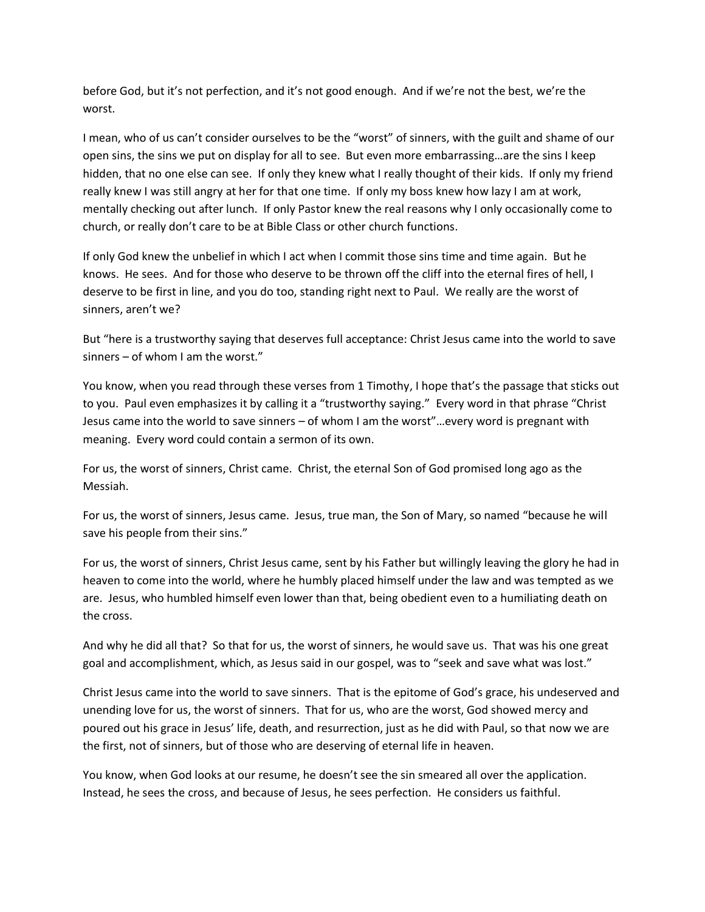before God, but it's not perfection, and it's not good enough. And if we're not the best, we're the worst.

I mean, who of us can't consider ourselves to be the "worst" of sinners, with the guilt and shame of our open sins, the sins we put on display for all to see. But even more embarrassing…are the sins I keep hidden, that no one else can see. If only they knew what I really thought of their kids. If only my friend really knew I was still angry at her for that one time. If only my boss knew how lazy I am at work, mentally checking out after lunch. If only Pastor knew the real reasons why I only occasionally come to church, or really don't care to be at Bible Class or other church functions.

If only God knew the unbelief in which I act when I commit those sins time and time again. But he knows. He sees. And for those who deserve to be thrown off the cliff into the eternal fires of hell, I deserve to be first in line, and you do too, standing right next to Paul. We really are the worst of sinners, aren't we?

But "here is a trustworthy saying that deserves full acceptance: Christ Jesus came into the world to save sinners – of whom I am the worst."

You know, when you read through these verses from 1 Timothy, I hope that's the passage that sticks out to you. Paul even emphasizes it by calling it a "trustworthy saying." Every word in that phrase "Christ Jesus came into the world to save sinners – of whom I am the worst"…every word is pregnant with meaning. Every word could contain a sermon of its own.

For us, the worst of sinners, Christ came. Christ, the eternal Son of God promised long ago as the Messiah.

For us, the worst of sinners, Jesus came. Jesus, true man, the Son of Mary, so named "because he will save his people from their sins."

For us, the worst of sinners, Christ Jesus came, sent by his Father but willingly leaving the glory he had in heaven to come into the world, where he humbly placed himself under the law and was tempted as we are. Jesus, who humbled himself even lower than that, being obedient even to a humiliating death on the cross.

And why he did all that? So that for us, the worst of sinners, he would save us. That was his one great goal and accomplishment, which, as Jesus said in our gospel, was to "seek and save what was lost."

Christ Jesus came into the world to save sinners. That is the epitome of God's grace, his undeserved and unending love for us, the worst of sinners. That for us, who are the worst, God showed mercy and poured out his grace in Jesus' life, death, and resurrection, just as he did with Paul, so that now we are the first, not of sinners, but of those who are deserving of eternal life in heaven.

You know, when God looks at our resume, he doesn't see the sin smeared all over the application. Instead, he sees the cross, and because of Jesus, he sees perfection. He considers us faithful.